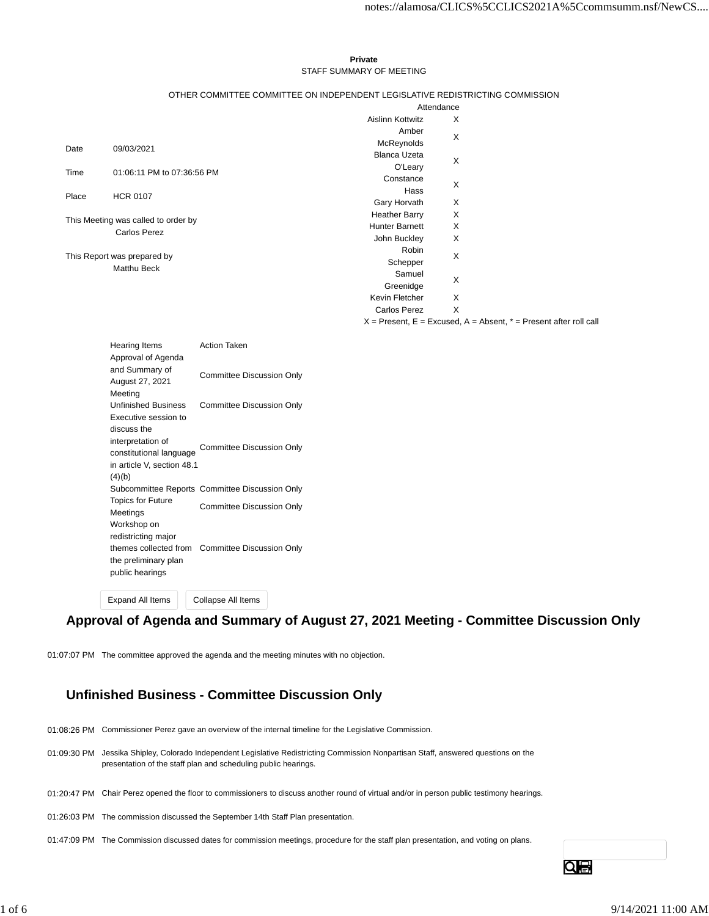#### **Private** STAFF SUMMARY OF MEETING

| OTHER COMMITTEE COMMITTEE ON INDEPENDENT LEGISLATIVE REDISTRICTING COMMISSION |  |
|-------------------------------------------------------------------------------|--|
|                                                                               |  |

|                                                   |                                     |                       | Attendance |  |  |
|---------------------------------------------------|-------------------------------------|-----------------------|------------|--|--|
|                                                   |                                     | Aislinn Kottwitz      | X          |  |  |
|                                                   |                                     | Amber                 | X          |  |  |
| Date                                              | 09/03/2021                          | McReynolds            |            |  |  |
|                                                   |                                     | <b>Blanca Uzeta</b>   | X          |  |  |
| Time                                              | 01:06:11 PM to 07:36:56 PM          | O'Leary               |            |  |  |
|                                                   |                                     | Constance             | X          |  |  |
| Place                                             | <b>HCR 0107</b>                     | Hass                  |            |  |  |
|                                                   |                                     | Gary Horvath          | X          |  |  |
|                                                   | This Meeting was called to order by | <b>Heather Barry</b>  | X          |  |  |
|                                                   | <b>Carlos Perez</b>                 | <b>Hunter Barnett</b> | Χ          |  |  |
|                                                   |                                     | John Buckley          | X          |  |  |
|                                                   |                                     | Robin                 | X          |  |  |
| This Report was prepared by<br><b>Matthu Beck</b> |                                     | Schepper              |            |  |  |
|                                                   |                                     | Samuel                | X          |  |  |
|                                                   |                                     | Greenidge             |            |  |  |
|                                                   |                                     | Kevin Fletcher        | X          |  |  |
|                                                   |                                     | Carlos Perez          | X          |  |  |

 $X =$  Present,  $E =$  Excused,  $A =$  Absent,  $* =$  Present after roll call

| <b>Hearing Items</b><br>Approval of Agenda | Action Taken                                   |
|--------------------------------------------|------------------------------------------------|
| and Summary of<br>August 27, 2021          | <b>Committee Discussion Only</b>               |
| Meeting                                    |                                                |
| <b>Unfinished Business</b>                 | <b>Committee Discussion Only</b>               |
| Executive session to                       |                                                |
| discuss the                                |                                                |
| interpretation of                          | Committee Discussion Only                      |
| constitutional language                    |                                                |
| in article V, section 48.1                 |                                                |
| (4)(b)                                     |                                                |
|                                            | Subcommittee Reports Committee Discussion Only |
| <b>Topics for Future</b><br>Meetings       | <b>Committee Discussion Only</b>               |
| Workshop on                                |                                                |
| redistricting major                        |                                                |
| themes collected from                      | <b>Committee Discussion Only</b>               |
| the preliminary plan                       |                                                |
| public hearings                            |                                                |
|                                            |                                                |

Expand All Items Collapse All Items

# **Approval of Agenda and Summary of August 27, 2021 Meeting - Committee Discussion Only**

01:07:07 PM The committee approved the agenda and the meeting minutes with no objection.

# **Unfinished Business - Committee Discussion Only**

- 01:08:26 PM Commissioner Perez gave an overview of the internal timeline for the Legislative Commission.
- 01:09:30 PM Jessika Shipley, Colorado Independent Legislative Redistricting Commission Nonpartisan Staff, answered questions on the presentation of the staff plan and scheduling public hearings.
- 01:20:47 PM Chair Perez opened the floor to commissioners to discuss another round of virtual and/or in person public testimony hearings.
- 01:26:03 PM The commission discussed the September 14th Staff Plan presentation.
- 01:47:09 PM The Commission discussed dates for commission meetings, procedure for the staff plan presentation, and voting on plans.

Qe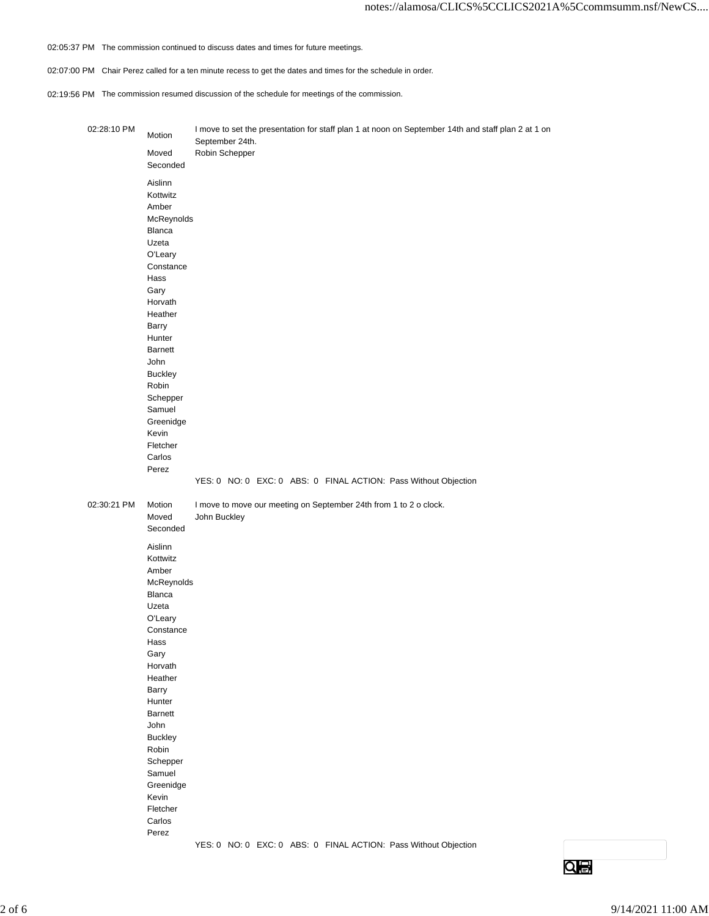- 02:05:37 PM The commission continued to discuss dates and times for future meetings.
- 02:07:00 PM Chair Perez called for a ten minute recess to get the dates and times for the schedule in order.
- 02:19:56 PM The commission resumed discussion of the schedule for meetings of the commission.

| 02:28:10 PM | Motion             | I move to set the presentation for staff plan 1 at noon on September 14th and staff plan 2 at 1 on<br>September 24th. |
|-------------|--------------------|-----------------------------------------------------------------------------------------------------------------------|
|             | Moved              | Robin Schepper                                                                                                        |
|             | Seconded           |                                                                                                                       |
|             |                    |                                                                                                                       |
|             | Aislinn            |                                                                                                                       |
|             | Kottwitz           |                                                                                                                       |
|             | Amber              |                                                                                                                       |
|             | McReynolds         |                                                                                                                       |
|             | Blanca             |                                                                                                                       |
|             | Uzeta              |                                                                                                                       |
|             | O'Leary            |                                                                                                                       |
|             | Constance          |                                                                                                                       |
|             | Hass               |                                                                                                                       |
|             | Gary               |                                                                                                                       |
|             | Horvath            |                                                                                                                       |
|             | Heather            |                                                                                                                       |
|             | Barry              |                                                                                                                       |
|             | Hunter             |                                                                                                                       |
|             | Barnett            |                                                                                                                       |
|             | John               |                                                                                                                       |
|             | <b>Buckley</b>     |                                                                                                                       |
|             | Robin              |                                                                                                                       |
|             | Schepper           |                                                                                                                       |
|             | Samuel             |                                                                                                                       |
|             | Greenidge          |                                                                                                                       |
|             | Kevin              |                                                                                                                       |
|             | Fletcher<br>Carlos |                                                                                                                       |
|             |                    |                                                                                                                       |
|             | Perez              |                                                                                                                       |
|             |                    | YES: 0 NO: 0 EXC: 0 ABS: 0 FINAL ACTION: Pass Without Objection                                                       |
| 02:30:21 PM | Motion             | I move to move our meeting on September 24th from 1 to 2 o clock.                                                     |
|             | Moved              | John Buckley                                                                                                          |
|             | Seconded           |                                                                                                                       |
|             |                    |                                                                                                                       |
|             | Aislinn            |                                                                                                                       |
|             | Kottwitz           |                                                                                                                       |
|             | Amber              |                                                                                                                       |
|             | McReynolds         |                                                                                                                       |
|             | <b>Blanca</b>      |                                                                                                                       |
|             | Uzeta              |                                                                                                                       |
|             | O'Leary            |                                                                                                                       |
|             | Constance          |                                                                                                                       |
|             | Hass               |                                                                                                                       |
|             | Gary               |                                                                                                                       |
|             | Horvath            |                                                                                                                       |
|             | Heather            |                                                                                                                       |
|             | Barry<br>Hunter    |                                                                                                                       |
|             | Barnett            |                                                                                                                       |
|             | John               |                                                                                                                       |
|             | <b>Buckley</b>     |                                                                                                                       |
|             | Robin              |                                                                                                                       |
|             | Schepper           |                                                                                                                       |
|             | Samuel             |                                                                                                                       |
|             | Greenidge          |                                                                                                                       |
|             | Kevin              |                                                                                                                       |
|             | Fletcher           |                                                                                                                       |
|             | Carlos             |                                                                                                                       |
|             | Perez              |                                                                                                                       |
|             |                    | YES: 0 NO: 0 EXC: 0 ABS: 0 FINAL ACTION: Pass Without Objection                                                       |

 $\overline{\mathbf{Q}}$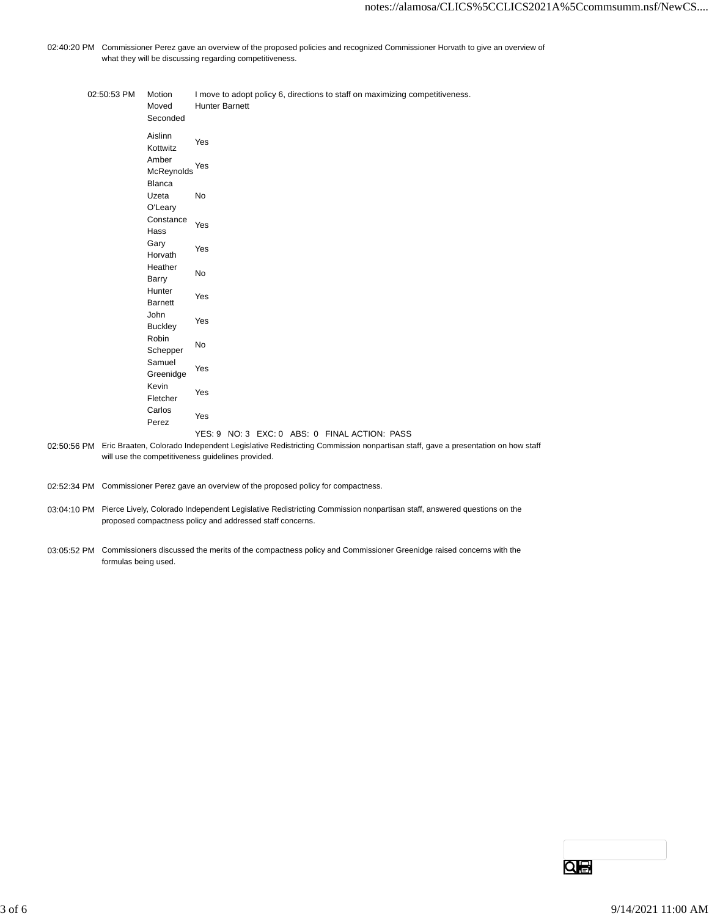02:40:20 PM Commissioner Perez gave an overview of the proposed policies and recognized Commissioner Horvath to give an overview of what they will be discussing regarding competitiveness.

| 02:50:53 PM | Motion<br>Moved<br>Seconded          | I move to adopt policy 6, directions to staff on maximizing competitiveness.<br><b>Hunter Barnett</b> |
|-------------|--------------------------------------|-------------------------------------------------------------------------------------------------------|
|             | Aislinn<br>Kottwitz                  | Yes                                                                                                   |
|             | Amber<br>McReynolds<br><b>Blanca</b> | Yes                                                                                                   |
|             | Uzeta<br>O'Leary                     | No                                                                                                    |
|             | Constance<br>Hass                    | Yes                                                                                                   |
|             | Gary<br>Horvath                      | Yes                                                                                                   |
|             | Heather<br>Barry                     | No                                                                                                    |
|             | Hunter<br><b>Barnett</b>             | Yes                                                                                                   |
|             | John<br><b>Buckley</b>               | Yes                                                                                                   |
|             | Robin<br>Schepper                    | No                                                                                                    |
|             | Samuel<br>Greenidge                  | Yes                                                                                                   |
|             | Kevin<br>Fletcher                    | Yes                                                                                                   |
|             | Carlos<br>Perez                      | Yes                                                                                                   |

#### YES: 9 NO: 3 EXC: 0 ABS: 0 FINAL ACTION: PASS

02:50:56 PM Eric Braaten, Colorado Independent Legislative Redistricting Commission nonpartisan staff, gave a presentation on how staff will use the competitiveness guidelines provided.

- 02:52:34 PM Commissioner Perez gave an overview of the proposed policy for compactness.
- 03:04:10 PM Pierce Lively, Colorado Independent Legislative Redistricting Commission nonpartisan staff, answered questions on the proposed compactness policy and addressed staff concerns.
- 03:05:52 PM Commissioners discussed the merits of the compactness policy and Commissioner Greenidge raised concerns with the formulas being used.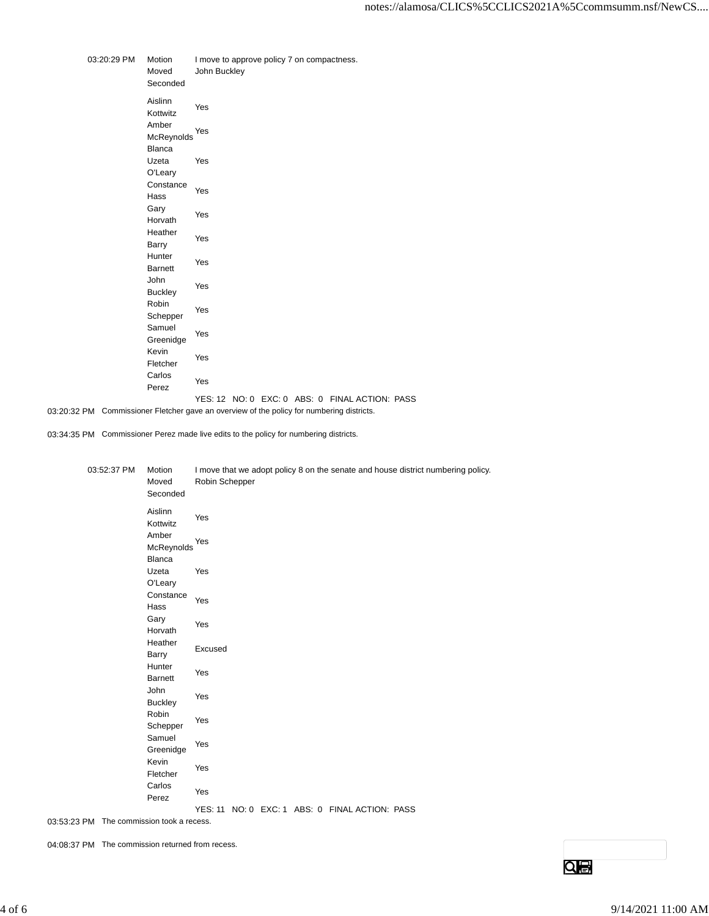| 03:20:29 PM | Motion<br>Moved<br>Seconded | John Buckley |  | I move to approve policy 7 on compactness. |                                                |  |
|-------------|-----------------------------|--------------|--|--------------------------------------------|------------------------------------------------|--|
|             | Aislinn<br>Kottwitz         | Yes          |  |                                            |                                                |  |
|             | Amber<br>McReynolds         | Yes          |  |                                            |                                                |  |
|             | Blanca<br>Uzeta<br>O'Leary  | Yes          |  |                                            |                                                |  |
|             | Constance<br>Hass           | Yes          |  |                                            |                                                |  |
|             | Gary<br>Horvath             | Yes          |  |                                            |                                                |  |
|             | Heather<br>Barry            | Yes          |  |                                            |                                                |  |
|             | Hunter<br><b>Barnett</b>    | Yes          |  |                                            |                                                |  |
|             | John<br><b>Buckley</b>      | Yes          |  |                                            |                                                |  |
|             | Robin<br>Schepper           | Yes          |  |                                            |                                                |  |
|             | Samuel<br>Greenidge         | Yes          |  |                                            |                                                |  |
|             | Kevin<br>Fletcher           | Yes          |  |                                            |                                                |  |
|             | Carlos<br>Perez             | Yes          |  |                                            |                                                |  |
|             |                             |              |  |                                            | YES: 12 NO: 0 EXC: 0 ABS: 0 FINAL ACTION: PASS |  |

03:20:32 PM Commissioner Fletcher gave an overview of the policy for numbering districts.

03:34:35 PM Commissioner Perez made live edits to the policy for numbering districts.

| 03:52:37 PM | Motion<br>Moved<br>Seconded   | I move that we adopt policy 8 on the senate and house district numbering policy.<br>Robin Schepper |
|-------------|-------------------------------|----------------------------------------------------------------------------------------------------|
|             | Aislinn<br>Kottwitz           | Yes                                                                                                |
|             | Amber<br>McReynolds<br>Blanca | Yes                                                                                                |
|             | Uzeta<br>O'Leary              | Yes                                                                                                |
|             | Constance<br>Hass             | Yes                                                                                                |
|             | Gary<br>Horvath               | Yes                                                                                                |
|             | Heather<br>Barry              | Excused                                                                                            |
|             | Hunter<br><b>Barnett</b>      | Yes                                                                                                |
|             | John<br><b>Buckley</b>        | Yes                                                                                                |
|             | Robin<br>Schepper<br>Samuel   | Yes                                                                                                |
|             | Greenidge<br>Kevin            | Yes                                                                                                |
|             | Fletcher<br>Carlos            | Yes                                                                                                |
|             | Perez                         | Yes<br>YES: 11 NO: 0 EXC: 1 ABS: 0 FINAL ACTION: PASS                                              |
|             |                               |                                                                                                    |

03:53:23 PM The commission took a recess.

04:08:37 PM The commission returned from recess.

 $Q$ e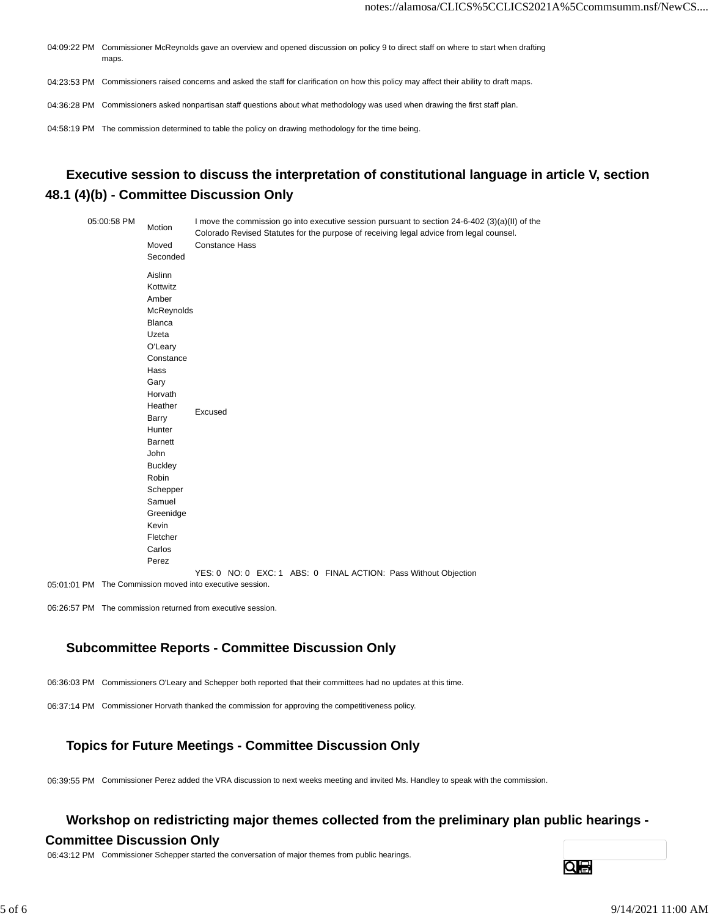- 04:09:22 PM Commissioner McReynolds gave an overview and opened discussion on policy 9 to direct staff on where to start when drafting maps.
- 04:23:53 PM Commissioners raised concerns and asked the staff for clarification on how this policy may affect their ability to draft maps.
- 04:36:28 PM Commissioners asked nonpartisan staff questions about what methodology was used when drawing the first staff plan.
- 04:58:19 PM The commission determined to table the policy on drawing methodology for the time being.

# **Executive session to discuss the interpretation of constitutional language in article V, section 48.1 (4)(b) - Committee Discussion Only**

| Moved<br><b>Constance Hass</b><br>Seconded<br>Aislinn<br>Kottwitz<br>Amber<br>McReynolds<br>Blanca<br>Uzeta<br>O'Leary<br>Constance<br>Hass<br>Gary<br>Horvath<br>Heather<br>Excused<br>Barry<br>Hunter<br><b>Barnett</b><br>John<br><b>Buckley</b><br>Robin<br>Schepper<br>Samuel<br>Greenidge<br>Kevin<br>Fletcher | 05:00:58 PM | Motion | I move the commission go into executive session pursuant to section 24-6-402 (3)(a)(II) of the<br>Colorado Revised Statutes for the purpose of receiving legal advice from legal counsel. |
|----------------------------------------------------------------------------------------------------------------------------------------------------------------------------------------------------------------------------------------------------------------------------------------------------------------------|-------------|--------|-------------------------------------------------------------------------------------------------------------------------------------------------------------------------------------------|
|                                                                                                                                                                                                                                                                                                                      |             |        |                                                                                                                                                                                           |
|                                                                                                                                                                                                                                                                                                                      |             |        |                                                                                                                                                                                           |
|                                                                                                                                                                                                                                                                                                                      |             |        |                                                                                                                                                                                           |
|                                                                                                                                                                                                                                                                                                                      |             |        |                                                                                                                                                                                           |
|                                                                                                                                                                                                                                                                                                                      |             |        |                                                                                                                                                                                           |
|                                                                                                                                                                                                                                                                                                                      |             |        |                                                                                                                                                                                           |
|                                                                                                                                                                                                                                                                                                                      |             |        |                                                                                                                                                                                           |
|                                                                                                                                                                                                                                                                                                                      |             |        |                                                                                                                                                                                           |
|                                                                                                                                                                                                                                                                                                                      |             |        |                                                                                                                                                                                           |
|                                                                                                                                                                                                                                                                                                                      |             |        |                                                                                                                                                                                           |
|                                                                                                                                                                                                                                                                                                                      |             |        |                                                                                                                                                                                           |
|                                                                                                                                                                                                                                                                                                                      |             |        |                                                                                                                                                                                           |
|                                                                                                                                                                                                                                                                                                                      |             |        |                                                                                                                                                                                           |
|                                                                                                                                                                                                                                                                                                                      |             |        |                                                                                                                                                                                           |
|                                                                                                                                                                                                                                                                                                                      |             |        |                                                                                                                                                                                           |
|                                                                                                                                                                                                                                                                                                                      |             |        |                                                                                                                                                                                           |
|                                                                                                                                                                                                                                                                                                                      |             |        |                                                                                                                                                                                           |
|                                                                                                                                                                                                                                                                                                                      |             |        |                                                                                                                                                                                           |
|                                                                                                                                                                                                                                                                                                                      |             |        |                                                                                                                                                                                           |
|                                                                                                                                                                                                                                                                                                                      |             |        |                                                                                                                                                                                           |
|                                                                                                                                                                                                                                                                                                                      |             |        |                                                                                                                                                                                           |
|                                                                                                                                                                                                                                                                                                                      |             |        |                                                                                                                                                                                           |
|                                                                                                                                                                                                                                                                                                                      |             |        |                                                                                                                                                                                           |
|                                                                                                                                                                                                                                                                                                                      |             |        |                                                                                                                                                                                           |
|                                                                                                                                                                                                                                                                                                                      |             |        |                                                                                                                                                                                           |
|                                                                                                                                                                                                                                                                                                                      |             | Carlos |                                                                                                                                                                                           |
| Perez                                                                                                                                                                                                                                                                                                                |             |        |                                                                                                                                                                                           |
| YES: 0 NO: 0 EXC: 1 ABS: 0 FINAL ACTION: Pass Without Objection                                                                                                                                                                                                                                                      |             |        |                                                                                                                                                                                           |

05:01:01 PM The Commission moved into executive session.

06:26:57 PM The commission returned from executive session.

## **Subcommittee Reports - Committee Discussion Only**

- 06:36:03 PM Commissioners O'Leary and Schepper both reported that their committees had no updates at this time.
- 06:37:14 PM Commissioner Horvath thanked the commission for approving the competitiveness policy.

## **Topics for Future Meetings - Committee Discussion Only**

06:39:55 PM Commissioner Perez added the VRA discussion to next weeks meeting and invited Ms. Handley to speak with the commission.

### **Workshop on redistricting major themes collected from the preliminary plan public hearings -**

### **Committee Discussion Only**

06:43:12 PM Commissioner Schepper started the conversation of major themes from public hearings.

Qe